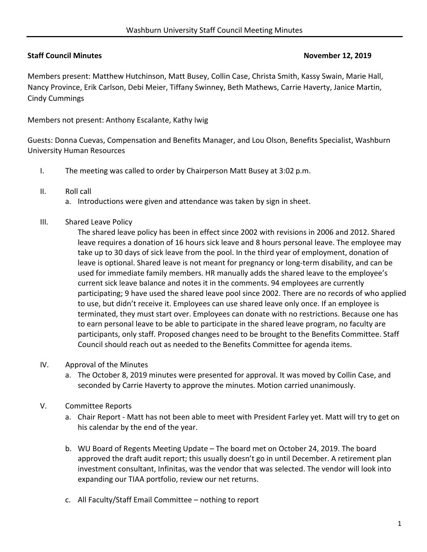## **Staff Council Minutes November 12, 2019**

Members present: Matthew Hutchinson, Matt Busey, Collin Case, Christa Smith, Kassy Swain, Marie Hall, Nancy Province, Erik Carlson, Debi Meier, Tiffany Swinney, Beth Mathews, Carrie Haverty, Janice Martin, Cindy Cummings

Members not present: Anthony Escalante, Kathy Iwig

Guests: Donna Cuevas, Compensation and Benefits Manager, and Lou Olson, Benefits Specialist, Washburn University Human Resources

- I. The meeting was called to order by Chairperson Matt Busey at 3:02 p.m.
- II. Roll call
	- a. Introductions were given and attendance was taken by sign in sheet.
- III. Shared Leave Policy

The shared leave policy has been in effect since 2002 with revisions in 2006 and 2012. Shared leave requires a donation of 16 hours sick leave and 8 hours personal leave. The employee may take up to 30 days of sick leave from the pool. In the third year of employment, donation of leave is optional. Shared leave is not meant for pregnancy or long‐term disability, and can be used for immediate family members. HR manually adds the shared leave to the employee's current sick leave balance and notes it in the comments. 94 employees are currently participating; 9 have used the shared leave pool since 2002. There are no records of who applied to use, but didn't receive it. Employees can use shared leave only once. If an employee is terminated, they must start over. Employees can donate with no restrictions. Because one has to earn personal leave to be able to participate in the shared leave program, no faculty are participants, only staff. Proposed changes need to be brought to the Benefits Committee. Staff Council should reach out as needed to the Benefits Committee for agenda items.

- IV. Approval of the Minutes
	- a. The October 8, 2019 minutes were presented for approval. It was moved by Collin Case, and seconded by Carrie Haverty to approve the minutes. Motion carried unanimously.
- V. Committee Reports
	- a. Chair Report Matt has not been able to meet with President Farley yet. Matt will try to get on his calendar by the end of the year.
	- b. WU Board of Regents Meeting Update The board met on October 24, 2019. The board approved the draft audit report; this usually doesn't go in until December. A retirement plan investment consultant, Infinitas, was the vendor that was selected. The vendor will look into expanding our TIAA portfolio, review our net returns.
	- c. All Faculty/Staff Email Committee nothing to report